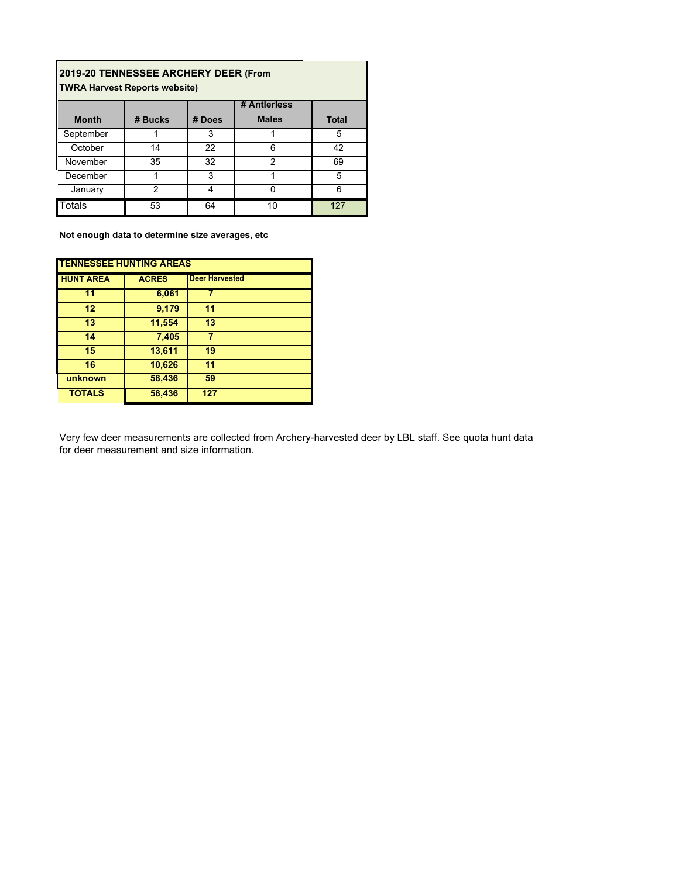| 2019-20 TENNESSEE ARCHERY DEER (From<br><b>TWRA Harvest Reports website)</b> |                |        |                |              |  |  |
|------------------------------------------------------------------------------|----------------|--------|----------------|--------------|--|--|
|                                                                              |                |        | # Antierless   |              |  |  |
| <b>Month</b>                                                                 | # Bucks        | # Does | <b>Males</b>   | <b>Total</b> |  |  |
| September                                                                    |                | 3      |                | 5            |  |  |
| October                                                                      | 14             | 22     | հ              | 42           |  |  |
| November                                                                     | 35             | 32     | $\mathfrak{p}$ | 69           |  |  |
| December                                                                     |                | 3      |                | 5            |  |  |
| January                                                                      | $\mathfrak{D}$ | 4      |                | 6            |  |  |
| <b>Totals</b>                                                                | 53             | 64     | 10             | 127          |  |  |

**Not enough data to determine size averages, etc**

| <b>TENNESSEE HUNTING AREAS</b> |              |                       |  |  |  |  |
|--------------------------------|--------------|-----------------------|--|--|--|--|
| <b>HUNT AREA</b>               | <b>ACRES</b> | <b>Deer Harvested</b> |  |  |  |  |
| $\overline{11}$                | 6,061        |                       |  |  |  |  |
| 12                             | 9,179        | 11                    |  |  |  |  |
| 13                             | 11,554       | 13                    |  |  |  |  |
| 14                             | 7,405        |                       |  |  |  |  |
| 15                             | 13,611       | 19                    |  |  |  |  |
| 16                             | 10,626       | 11                    |  |  |  |  |
| unknown                        | 58,436       | 59                    |  |  |  |  |
| <b>TOTALS</b>                  | 58,436       | 127                   |  |  |  |  |

Very few deer measurements are collected from Archery-harvested deer by LBL staff. See quota hunt data for deer measurement and size information.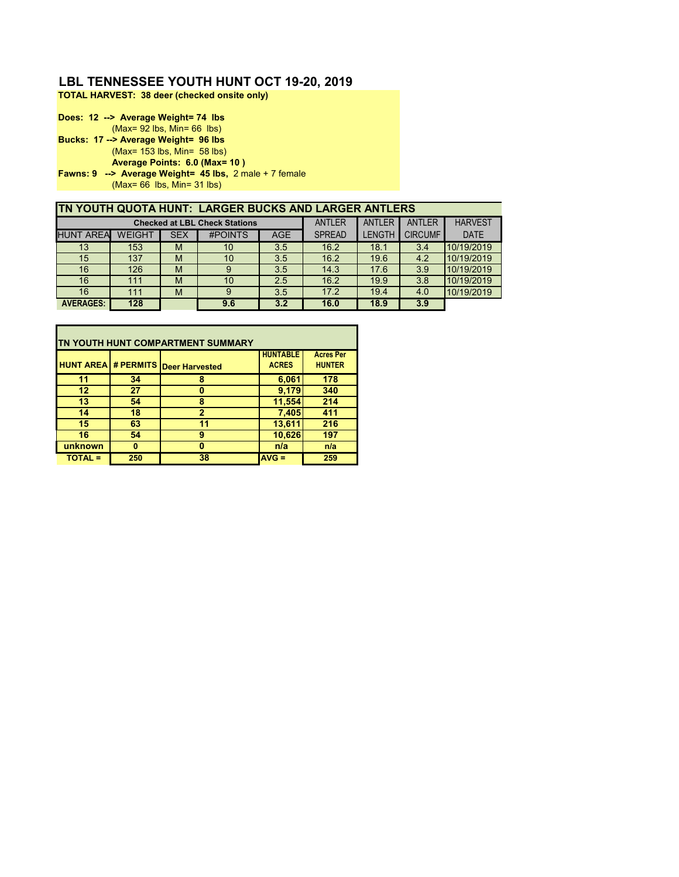### **LBL TENNESSEE YOUTH HUNT OCT 19-20, 2019**

**TOTAL HARVEST: 38 deer (checked onsite only)**

**Does: 12 --> Average Weight= 74 lbs** (Max= 92 lbs, Min= 66 lbs) **Bucks: 17 --> Average Weight= 96 lbs** (Max= 153 lbs, Min= 58 lbs) **Average Points: 6.0 (Max= 10 ) Fawns: 9 --> Average Weight= 45 lbs,** 2 male + 7 female (Max= 66 lbs, Min= 31 lbs)

| TN YOUTH QUOTA HUNT: LARGER BUCKS AND LARGER ANTLERS |               |            |                                      |            |               |               |                |                |
|------------------------------------------------------|---------------|------------|--------------------------------------|------------|---------------|---------------|----------------|----------------|
|                                                      |               |            | <b>Checked at LBL Check Stations</b> |            | <b>ANTLER</b> | ANTLER        | <b>ANTLER</b>  | <b>HARVEST</b> |
| <b>HUNT AREA</b>                                     | <b>WEIGHT</b> | <b>SEX</b> | #POINTS                              | <b>AGE</b> | <b>SPREAD</b> | <b>LENGTH</b> | <b>CIRCUMF</b> | <b>DATE</b>    |
| 13                                                   | 153           | M          | 10                                   | 3.5        | 16.2          | 18.1          | 3.4            | 10/19/2019     |
| 15                                                   | 137           | M          | 10                                   | 3.5        | 16.2          | 19.6          | 4.2            | 10/19/2019     |
| 16                                                   | 126           | M          | 9                                    | 3.5        | 14.3          | 17.6          | 3.9            | 10/19/2019     |
| 16                                                   | 111           | M          | 10                                   | 2.5        | 16.2          | 19.9          | 3.8            | 10/19/2019     |
| 16                                                   | 111           | M          | 9                                    | 3.5        | 17.2          | 19.4          | 4.0            | 10/19/2019     |
| <b>AVERAGES:</b>                                     | 128           |            | 9.6                                  | 3.2        | 16.0          | 18.9          | 3.9            |                |

| ITN YOUTH HUNT COMPARTMENT SUMMARY |     |                                           |                                 |                                   |  |  |  |
|------------------------------------|-----|-------------------------------------------|---------------------------------|-----------------------------------|--|--|--|
|                                    |     | <b>HUNT AREA # PERMITS Deer Harvested</b> | <b>HUNTABLE</b><br><b>ACRES</b> | <b>Acres Per</b><br><b>HUNTER</b> |  |  |  |
| 11                                 | 34  | 8                                         | 6,061                           | 178                               |  |  |  |
| 12                                 | 27  | o                                         | 9,179                           | 340                               |  |  |  |
| 13                                 | 54  | 8                                         | 11,554                          | 214                               |  |  |  |
| 14                                 | 18  | $\overline{2}$                            | 7,405                           | 411                               |  |  |  |
| 15                                 | 63  | 11                                        | 13,611                          | 216                               |  |  |  |
| 16                                 | 54  | 9                                         | 10,626                          | 197                               |  |  |  |
| unknown                            | n   | o                                         | n/a                             | n/a                               |  |  |  |
| <b>TOTAL =</b>                     | 250 | 38                                        | $AVG =$                         | 259                               |  |  |  |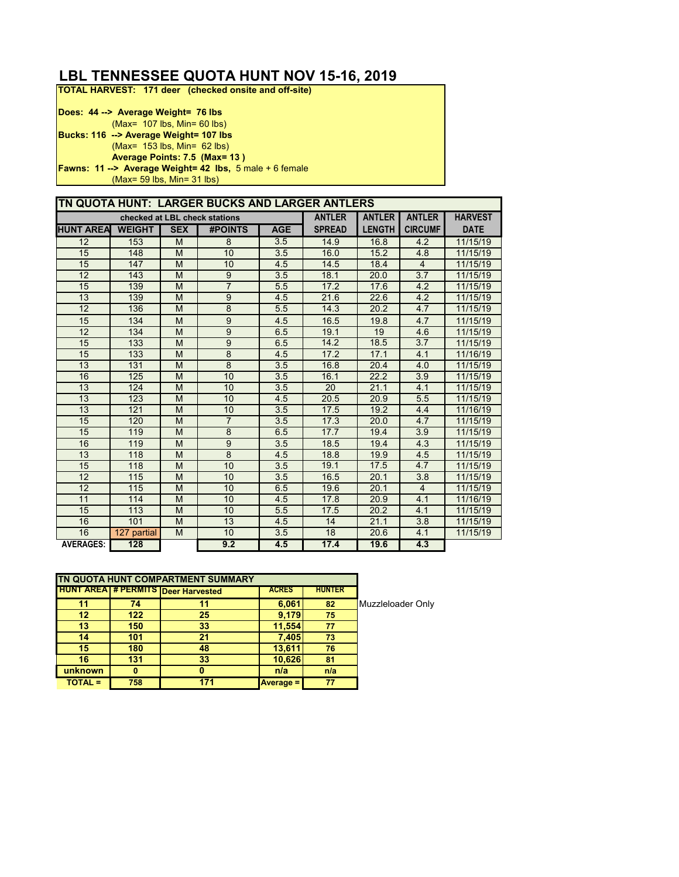## **LBL TENNESSEE QUOTA HUNT NOV 15-16, 2019**

**TOTAL HARVEST: 171 deer (checked onsite and off-site)**

| Does: 44 --> Average Weight= 76 lbs                               |
|-------------------------------------------------------------------|
| $(Max= 107$ lbs, Min= 60 lbs)                                     |
| Bucks: 116 --> Average Weight= 107 lbs                            |
| $(Max = 153$ lbs, Min= 62 lbs)                                    |
| Average Points: 7.5 (Max= 13)                                     |
| <b>Fawns: 11 --&gt; Average Weight= 42 lbs, 5 male + 6 female</b> |
| $(Max = 59$ lbs, $Min = 31$ lbs)                                  |

|                  |               |            | TN QUOTA HUNT: LARGER BUCKS AND LARGER ANTLERS |            |               |               |                |                |
|------------------|---------------|------------|------------------------------------------------|------------|---------------|---------------|----------------|----------------|
|                  |               |            | checked at LBL check stations                  |            | <b>ANTLER</b> | <b>ANTLER</b> | <b>ANTLER</b>  | <b>HARVEST</b> |
| <b>HUNT AREA</b> | <b>WEIGHT</b> | <b>SEX</b> | <b>#POINTS</b>                                 | <b>AGE</b> | <b>SPREAD</b> | <b>LENGTH</b> | <b>CIRCUMF</b> | <b>DATE</b>    |
| 12               | 153           | M          | 8                                              | 3.5        | 14.9          | 16.8          | 4.2            | 11/15/19       |
| 15               | 148           | M          | 10                                             | 3.5        | 16.0          | 15.2          | 4.8            | 11/15/19       |
| 15               | 147           | M          | 10                                             | 4.5        | 14.5          | 18.4          | $\overline{4}$ | 11/15/19       |
| 12               | 143           | M          | $\overline{9}$                                 | 3.5        | 18.1          | 20.0          | 3.7            | 11/15/19       |
| 15               | 139           | M          | $\overline{7}$                                 | 5.5        | 17.2          | 17.6          | 4.2            | 11/15/19       |
| 13               | 139           | M          | 9                                              | 4.5        | 21.6          | 22.6          | 4.2            | 11/15/19       |
| 12               | 136           | M          | $\overline{8}$                                 | 5.5        | 14.3          | 20.2          | 4.7            | 11/15/19       |
| 15               | 134           | M          | 9                                              | 4.5        | 16.5          | 19.8          | 4.7            | 11/15/19       |
| 12               | 134           | M          | $\overline{9}$                                 | 6.5        | 19.1          | 19            | 4.6            | 11/15/19       |
| 15               | 133           | M          | 9                                              | 6.5        | 14.2          | 18.5          | 3.7            | 11/15/19       |
| 15               | 133           | M          | $\overline{8}$                                 | 4.5        | 17.2          | 17.1          | 4.1            | 11/16/19       |
| 13               | 131           | M          | $\overline{8}$                                 | 3.5        | 16.8          | 20.4          | 4.0            | 11/15/19       |
| 16               | 125           | M          | 10                                             | 3.5        | 16.1          | 22.2          | 3.9            | 11/15/19       |
| 13               | 124           | M          | 10                                             | 3.5        | 20            | 21.1          | 4.1            | 11/15/19       |
| 13               | 123           | M          | 10                                             | 4.5        | 20.5          | 20.9          | 5.5            | 11/15/19       |
| 13               | 121           | M          | 10                                             | 3.5        | 17.5          | 19.2          | 4.4            | 11/16/19       |
| 15               | 120           | M          | $\overline{7}$                                 | 3.5        | 17.3          | 20.0          | 4.7            | 11/15/19       |
| 15               | 119           | M          | $\overline{8}$                                 | 6.5        | 17.7          | 19.4          | 3.9            | 11/15/19       |
| 16               | 119           | M          | $\overline{9}$                                 | 3.5        | 18.5          | 19.4          | 4.3            | 11/15/19       |
| 13               | 118           | M          | 8                                              | 4.5        | 18.8          | 19.9          | 4.5            | 11/15/19       |
| 15               | 118           | M          | 10                                             | 3.5        | 19.1          | 17.5          | 4.7            | 11/15/19       |
| 12               | 115           | M          | 10                                             | 3.5        | 16.5          | 20.1          | 3.8            | 11/15/19       |
| 12               | 115           | M          | 10                                             | 6.5        | 19.6          | 20.1          | $\overline{4}$ | 11/15/19       |
| 11               | 114           | M          | 10                                             | 4.5        | 17.8          | 20.9          | 4.1            | 11/16/19       |
| 15               | 113           | M          | 10                                             | 5.5        | 17.5          | 20.2          | 4.1            | 11/15/19       |
| 16               | 101           | M          | 13                                             | 4.5        | 14            | 21.1          | 3.8            | 11/15/19       |
| 16               | 127 partial   | M          | 10                                             | 3.5        | 18            | 20.6          | 4.1            | 11/15/19       |
| <b>AVERAGES:</b> | 128           |            | 9.2                                            | 4.5        | 17.4          | 19.6          | 4.3            |                |

|                |     | TN QUOTA HUNT COMPARTMENT SUMMARY             |                  |               |     |
|----------------|-----|-----------------------------------------------|------------------|---------------|-----|
|                |     | <b>HUNT AREA   # PERMITS   Deer Harvested</b> | <b>ACRES</b>     | <b>HUNTER</b> |     |
| 11             | 74  |                                               | 6,061            | 82            | Muz |
| 12             | 122 | 25                                            | 9,179            | 75            |     |
| 13             | 150 | 33                                            | 11,554           | 77            |     |
| 14             | 101 | 21                                            | 7,405            | 73            |     |
| 15             | 180 | 48                                            | 13,611           | 76            |     |
| 16             | 131 | 33                                            | 10,626           | 81            |     |
| unknown        |     | o                                             | n/a              | n/a           |     |
| <b>TOTAL =</b> | 758 | 171                                           | <b>Average =</b> | 77            |     |

**74 11 6,061 82** Muzzleloader Only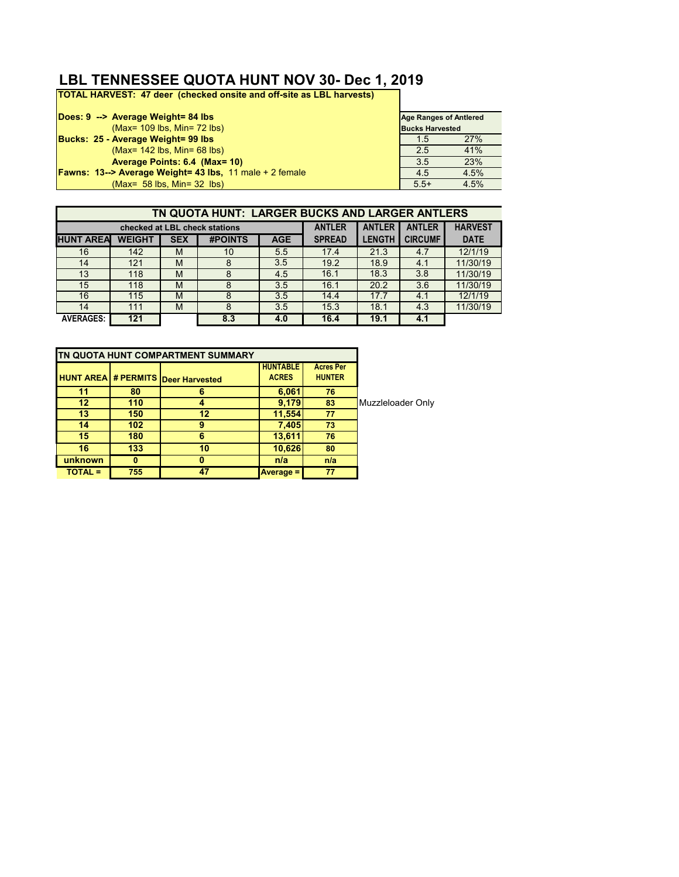## **LBL TENNESSEE QUOTA HUNT NOV 30- Dec 1, 2019**

**TOTAL HARVEST: 47 deer (checked onsite and off-site as LBL harvests)**

| Does: 9 --> Average Weight= 84 lbs                                | <b>Age Ranges of Antiered</b> |      |
|-------------------------------------------------------------------|-------------------------------|------|
| (Max= 109 lbs, Min= 72 lbs)                                       | <b>Bucks Harvested</b>        |      |
| Bucks: 25 - Average Weight= 99 lbs                                | 1.5                           | 27%  |
| $(Max = 142$ lbs, Min= 68 lbs)                                    | 2.5                           | 41%  |
| Average Points: 6.4 (Max= 10)                                     | 3.5                           | 23%  |
| <b>Fawns: 13--&gt; Average Weight= 43 lbs.</b> 11 male + 2 female | 4.5                           | 4.5% |
| $(Max = 58$ lbs. Min= $32$ lbs)                                   | $5.5+$                        | 4.5% |

|                  | TN QUOTA HUNT: LARGER BUCKS AND LARGER ANTLERS |            |                               |            |               |               |                |                |
|------------------|------------------------------------------------|------------|-------------------------------|------------|---------------|---------------|----------------|----------------|
|                  |                                                |            | checked at LBL check stations |            | <b>ANTLER</b> | <b>ANTLER</b> | <b>ANTLER</b>  | <b>HARVEST</b> |
| <b>HUNT AREA</b> | <b>WEIGHT</b>                                  | <b>SEX</b> | <b>#POINTS</b>                | <b>AGE</b> | <b>SPREAD</b> | <b>LENGTH</b> | <b>CIRCUMF</b> | <b>DATE</b>    |
| 16               | 142                                            | M          | 10                            | 5.5        | 17.4          | 21.3          | 4.7            | 12/1/19        |
| 14               | 121                                            | M          | 8                             | 3.5        | 19.2          | 18.9          | 4.1            | 11/30/19       |
| 13               | 118                                            | M          | 8                             | 4.5        | 16.1          | 18.3          | 3.8            | 11/30/19       |
| 15               | 118                                            | M          | 8                             | 3.5        | 16.1          | 20.2          | 3.6            | 11/30/19       |
| 16               | 115                                            | M          | 8                             | 3.5        | 14.4          | 17.7          | 4.1            | 12/1/19        |
| 14               | 111                                            | M          | 8                             | 3.5        | 15.3          | 18.1          | 4.3            | 11/30/19       |
| <b>AVERAGES:</b> | 121                                            |            | 8.3                           | 4.0        | 16.4          | 19.1          | 4.1            |                |

|           |                  | TN QUOTA HUNT COMPARTMENT SUMMARY         |                                 |                                   |                   |
|-----------|------------------|-------------------------------------------|---------------------------------|-----------------------------------|-------------------|
|           |                  | <b>HUNT AREA # PERMITS Deer Harvested</b> | <b>HUNTABLE</b><br><b>ACRES</b> | <b>Acres Per</b><br><b>HUNTER</b> |                   |
| 11        | 80               | 6                                         | 6,061                           | 76                                |                   |
| 12        | 110              |                                           | 9,179                           | 83                                | Muzzleloader Only |
| 13        | 150              | 12                                        | 11,554                          | 77                                |                   |
| 14        | 102 <sub>1</sub> | 9                                         | 7,405                           | 73                                |                   |
| 15        | 180              |                                           | 13,611                          | 76                                |                   |
| 16        | 133              | 10                                        | 10,626                          | 80                                |                   |
| unknown   | 0                | n                                         | n/a                             | n/a                               |                   |
| $TOTAL =$ | 755              | 47                                        | <b>Average =</b>                | 77                                |                   |
|           |                  |                                           |                                 |                                   |                   |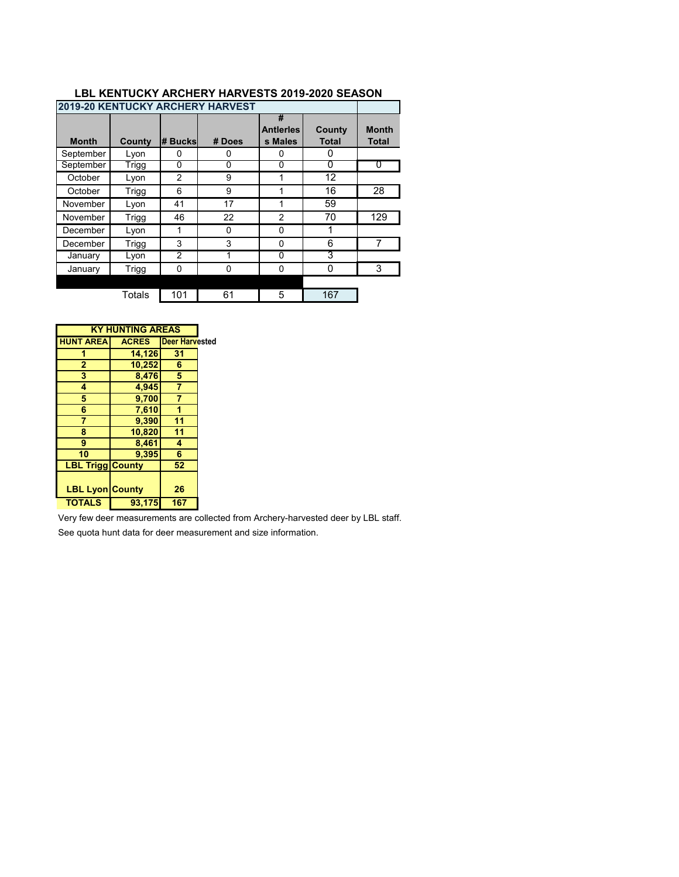|              |              |                | <b>2019-20 KENTUCKY ARCHERY HARVEST</b> |                                  |                        |                              |
|--------------|--------------|----------------|-----------------------------------------|----------------------------------|------------------------|------------------------------|
| <b>Month</b> | County       | # Bucksl       | # Does                                  | #<br><b>Antierles</b><br>s Males | County<br><b>Total</b> | <b>Month</b><br><b>Total</b> |
| September    | Lyon         | 0              | 0                                       | 0                                | 0                      |                              |
| September    | Trigg        | 0              | 0                                       | 0                                | 0                      | O                            |
| October      | Lyon         | $\overline{2}$ | 9                                       |                                  | 12                     |                              |
| October      | <b>Trigg</b> | 6              | 9                                       |                                  | 16                     | 28                           |
| November     | Lyon         | 41             | 17                                      |                                  | 59                     |                              |
| November     | <b>Trigg</b> | 46             | 22                                      | $\mathfrak{p}$                   | 70                     | 129                          |
| December     | Lyon         | 1              | 0                                       | $\Omega$                         |                        |                              |
| December     | Trigg        | 3              | 3                                       | $\Omega$                         | 6                      |                              |
| January      | Lyon         | $\overline{2}$ | 1                                       | 0                                | 3                      |                              |
| January      | Trigg        | $\Omega$       | $\Omega$                                | $\Omega$                         | 0                      | 3                            |
|              |              |                |                                         |                                  |                        |                              |
|              | Totals       | 101            | 61                                      | 5                                | 167                    |                              |

#### **LBL KENTUCKY ARCHERY HARVESTS 2019-2020 SEASON**

| <b>KY HUNTING AREAS</b> |              |                        |  |  |  |  |  |
|-------------------------|--------------|------------------------|--|--|--|--|--|
| <b>HUNT AREA</b>        | <b>ACRES</b> | <b>IDeer Harvested</b> |  |  |  |  |  |
|                         | 14,126       | 31                     |  |  |  |  |  |
| $\overline{2}$          | 10,252       | 6                      |  |  |  |  |  |
| 3                       | 8,476        | 5                      |  |  |  |  |  |
| 4                       | 4,945        | 7                      |  |  |  |  |  |
| 5                       | 9,700        | 7                      |  |  |  |  |  |
| 6                       | 7,610        |                        |  |  |  |  |  |
| 7                       | 9,390        | 11                     |  |  |  |  |  |
| 8                       | 10,820       | 11                     |  |  |  |  |  |
| 9                       | 8,461        | 4                      |  |  |  |  |  |
| 10                      | 9,395        | 6                      |  |  |  |  |  |
| <b>LBL Trigg County</b> |              | 52                     |  |  |  |  |  |
|                         |              |                        |  |  |  |  |  |
| <b>LBL Lyon County</b>  |              | 26                     |  |  |  |  |  |
| <b>TOTALS</b>           | 93,175       | 167                    |  |  |  |  |  |

Very few deer measurements are collected from Archery-harvested deer by LBL staff.

See quota hunt data for deer measurement and size information.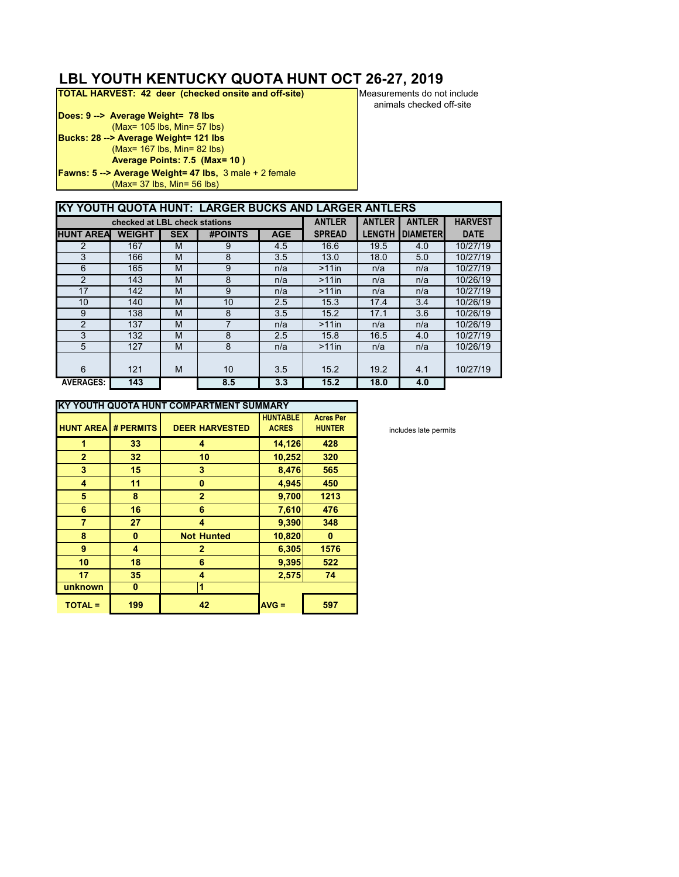# **LBL YOUTH KENTUCKY QUOTA HUNT OCT 26-27, 2019**<br>**TOTAL HARVEST: 42 deer (checked onsite and off-site)** Measurements do not include

**TOTAL HARVEST: 42 deer (checked onsite and off-site)** 

**Does: 9 --> Average Weight= 78 lbs** (Max= 105 lbs, Min= 57 lbs) **Bucks: 28 --> Average Weight= 121 lbs** (Max= 167 lbs, Min= 82 lbs) **Average Points: 7.5 (Max= 10 ) Fawns: 5 --> Average Weight= 47 lbs,** 3 male + 2 female (Max= 37 lbs, Min= 56 lbs)

animals checked off-site

|                  | KY YOUTH QUOTA HUNT: LARGER BUCKS AND LARGER ANTLERS |            |                |            |               |               |                 |                |
|------------------|------------------------------------------------------|------------|----------------|------------|---------------|---------------|-----------------|----------------|
|                  |                                                      |            |                |            |               |               |                 |                |
|                  | checked at LBL check stations                        |            |                |            | <b>ANTLER</b> | <b>ANTLER</b> | <b>ANTLER</b>   | <b>HARVEST</b> |
| <b>HUNT AREA</b> | <b>WEIGHT</b>                                        | <b>SEX</b> | <b>#POINTS</b> | <b>AGE</b> | <b>SPREAD</b> | <b>LENGTH</b> | <b>DIAMETER</b> | <b>DATE</b>    |
| 2                | 167                                                  | M          | 9              | 4.5        | 16.6          | 19.5          | 4.0             | 10/27/19       |
| 3                | 166                                                  | M          | 8              | 3.5        | 13.0          | 18.0          | 5.0             | 10/27/19       |
| 6                | 165                                                  | M          | 9              | n/a        | $>11$ in      | n/a           | n/a             | 10/27/19       |
| 2                | 143                                                  | M          | 8              | n/a        | $>11$ in      | n/a           | n/a             | 10/26/19       |
| 17               | 142                                                  | M          | 9              | n/a        | $>11$ in      | n/a           | n/a             | 10/27/19       |
| 10               | 140                                                  | M          | 10             | 2.5        | 15.3          | 17.4          | 3.4             | 10/26/19       |
| 9                | 138                                                  | M          | 8              | 3.5        | 15.2          | 17.1          | 3.6             | 10/26/19       |
| 2                | 137                                                  | M          | 7              | n/a        | $>11$ in      | n/a           | n/a             | 10/26/19       |
| 3                | 132                                                  | M          | 8              | 2.5        | 15.8          | 16.5          | 4.0             | 10/27/19       |
| 5                | 127                                                  | M          | 8              | n/a        | $>11$ in      | n/a           | n/a             | 10/26/19       |
|                  |                                                      |            |                |            |               |               |                 |                |
| 6                | 121                                                  | M          | 10             | 3.5        | 15.2          | 19.2          | 4.1             | 10/27/19       |
| <b>AVERAGES:</b> | 143                                                  |            | 8.5            | 3.3        | 15.2          | 18.0          | 4.0             |                |

|                  | KY YOUTH QUOTA HUNT COMPARTMENT SUMMARY |                       |                 |                  |
|------------------|-----------------------------------------|-----------------------|-----------------|------------------|
|                  |                                         |                       | <b>HUNTABLE</b> | <b>Acres Per</b> |
| <b>HUNT AREA</b> | # PERMITS                               | <b>DEER HARVESTED</b> | <b>ACRES</b>    | <b>HUNTER</b>    |
| 1                | 33                                      | 4                     | 14,126          | 428              |
| $\overline{2}$   | 32                                      | 10                    | 10,252          | 320              |
| 3                | 15                                      | 3                     | 8,476           | 565              |
| 4                | 11                                      | 0                     | 4,945           | 450              |
| 5                | 8                                       | $\overline{2}$        | 9,700           | 1213             |
| 6                | 16                                      | 6                     | 7,610           | 476              |
| $\overline{7}$   | 27                                      | 4                     | 9,390           | 348              |
| 8                | 0                                       | <b>Not Hunted</b>     | 10,820          | 0                |
| 9                | 4                                       | $\mathbf{2}$          | 6,305           | 1576             |
| 10               | 18                                      | 6                     | 9,395           | 522              |
| 17               | 35                                      | 4                     | 2,575           | 74               |
| unknown          | 0                                       | 1                     |                 |                  |
| <b>TOTAL =</b>   | 199                                     | 42                    | $AVG =$         | 597              |

includes late permits